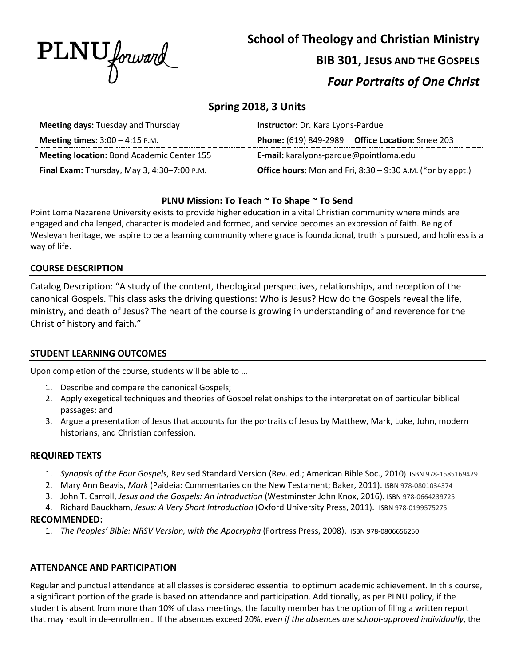

# **School of Theology and Christian Ministry BIB 301, JESUS AND THE GOSPELS** *Four Portraits of One Christ*

# **Spring 2018, 3 Units**

| <b>Meeting days: Tuesday and Thursday</b>                                                                                 | <b>Instructor:</b> Dr. Kara Lyons-Pardue                      |  |  |
|---------------------------------------------------------------------------------------------------------------------------|---------------------------------------------------------------|--|--|
| <b>Meeting times:</b> $3:00 - 4:15$ P.M.                                                                                  | <b>Phone:</b> (619) 849-2989 <b>Office Location:</b> Smee 203 |  |  |
| Meeting location: Bond Academic Center 155                                                                                | E-mail: karalyons-pardue@pointloma.edu                        |  |  |
| <b>Office hours:</b> Mon and Fri, $8:30 - 9:30$ A.M. (*or by appt.)<br><b>Final Exam:</b> Thursday, May 3, 4:30-7:00 P.M. |                                                               |  |  |

# **PLNU Mission: To Teach ~ To Shape ~ To Send**

Point Loma Nazarene University exists to provide higher education in a vital Christian community where minds are engaged and challenged, character is modeled and formed, and service becomes an expression of faith. Being of Wesleyan heritage, we aspire to be a learning community where grace is foundational, truth is pursued, and holiness is a way of life.

# **COURSE DESCRIPTION**

Catalog Description: "A study of the content, theological perspectives, relationships, and reception of the canonical Gospels. This class asks the driving questions: Who is Jesus? How do the Gospels reveal the life, ministry, and death of Jesus? The heart of the course is growing in understanding of and reverence for the Christ of history and faith."

## **STUDENT LEARNING OUTCOMES**

Upon completion of the course, students will be able to …

- 1. Describe and compare the canonical Gospels;
- 2. Apply exegetical techniques and theories of Gospel relationships to the interpretation of particular biblical passages; and
- 3. Argue a presentation of Jesus that accounts for the portraits of Jesus by Matthew, Mark, Luke, John, modern historians, and Christian confession.

## **REQUIRED TEXTS**

- 1. *Synopsis of the Four Gospels*, Revised Standard Version (Rev. ed.; American Bible Soc., 2010). ISBN 978-1585169429
- 2. Mary Ann Beavis, *Mark* (Paideia: Commentaries on the New Testament; Baker, 2011). ISBN 978-0801034374
- 3. John T. Carroll, *Jesus and the Gospels: An Introduction* (Westminster John Knox, 2016). ISBN 978-0664239725
- 4. Richard Bauckham, *Jesus: A Very Short Introduction* (Oxford University Press, 2011). ISBN 978-0199575275

## **RECOMMENDED:**

1. *The Peoples' Bible: NRSV Version, with the Apocrypha* (Fortress Press, 2008). ISBN 978-0806656250

## **ATTENDANCE AND PARTICIPATION**

Regular and punctual attendance at all classes is considered essential to optimum academic achievement. In this course, a significant portion of the grade is based on attendance and participation. Additionally, as per PLNU policy, if the student is absent from more than 10% of class meetings, the faculty member has the option of filing a written report that may result in de-enrollment. If the absences exceed 20%, *even if the absences are school-approved individually*, the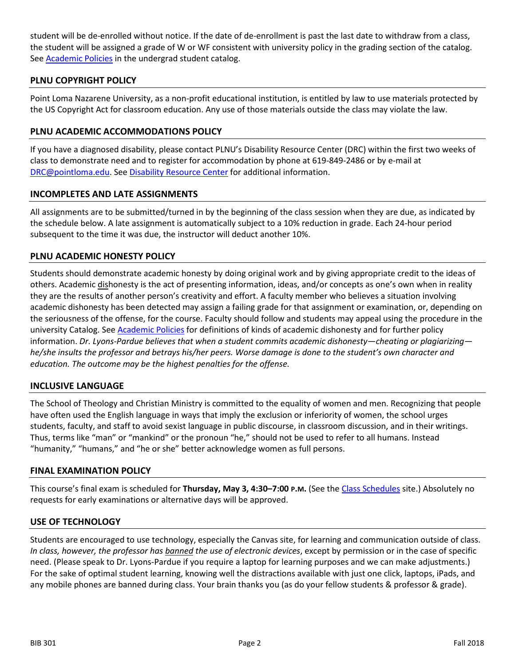student will be de-enrolled without notice. If the date of de-enrollment is past the last date to withdraw from a class, the student will be assigned a grade of W or WF consistent with university policy in the grading section of the catalog. See **Academic Policies** in the undergrad student catalog.

## **PLNU COPYRIGHT POLICY**

Point Loma Nazarene University, as a non-profit educational institution, is entitled by law to use materials protected by the US Copyright Act for classroom education. Any use of those materials outside the class may violate the law.

## **PLNU ACADEMIC ACCOMMODATIONS POLICY**

If you have a diagnosed disability, please contact PLNU's Disability Resource Center (DRC) within the first two weeks of class to demonstrate need and to register for accommodation by phone at 619-849-2486 or by e-mail at [DRC@pointloma.edu.](mailto:DRC@pointloma.edu) See [Disability Resource Center](http://www.pointloma.edu/experience/offices/administrative-offices/academic-advising-office/disability-resource-center) for additional information.

#### **INCOMPLETES AND LATE ASSIGNMENTS**

All assignments are to be submitted/turned in by the beginning of the class session when they are due, as indicated by the schedule below. A late assignment is automatically subject to a 10% reduction in grade. Each 24-hour period subsequent to the time it was due, the instructor will deduct another 10%.

## **PLNU ACADEMIC HONESTY POLICY**

Students should demonstrate academic honesty by doing original work and by giving appropriate credit to the ideas of others. Academic dishonesty is the act of presenting information, ideas, and/or concepts as one's own when in reality they are the results of another person's creativity and effort. A faculty member who believes a situation involving academic dishonesty has been detected may assign a failing grade for that assignment or examination, or, depending on the seriousness of the offense, for the course. Faculty should follow and students may appeal using the procedure in the university Catalog. Se[e Academic Policies](http://catalog.pointloma.edu/content.php?catoid=18&navoid=1278) for definitions of kinds of academic dishonesty and for further policy information. *Dr. Lyons-Pardue believes that when a student commits academic dishonesty—cheating or plagiarizing he/she insults the professor and betrays his/her peers. Worse damage is done to the student's own character and education. The outcome may be the highest penalties for the offense.*

#### **INCLUSIVE LANGUAGE**

The School of Theology and Christian Ministry is committed to the equality of women and men. Recognizing that people have often used the English language in ways that imply the exclusion or inferiority of women, the school urges students, faculty, and staff to avoid sexist language in public discourse, in classroom discussion, and in their writings. Thus, terms like "man" or "mankind" or the pronoun "he," should not be used to refer to all humans. Instead "humanity," "humans," and "he or she" better acknowledge women as full persons.

#### **FINAL EXAMINATION POLICY**

This course's final exam is scheduled for **Thursday, May 3, 4:30–7:00 P.M.** (See the [Class Schedules](http://www.pointloma.edu/experience/academics/class-schedules) site.) Absolutely no requests for early examinations or alternative days will be approved.

#### **USE OF TECHNOLOGY**

Students are encouraged to use technology, especially the Canvas site, for learning and communication outside of class. *In class, however, the professor has banned the use of electronic devices*, except by permission or in the case of specific need. (Please speak to Dr. Lyons-Pardue if you require a laptop for learning purposes and we can make adjustments.) For the sake of optimal student learning, knowing well the distractions available with just one click, laptops, iPads, and any mobile phones are banned during class. Your brain thanks you (as do your fellow students & professor & grade).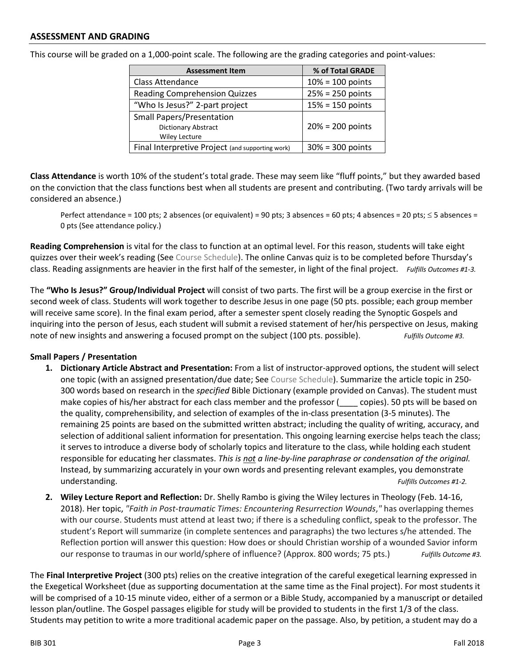| This course will be graded on a 1,000-point scale. The following are the grading categories and point-values: |  |  |
|---------------------------------------------------------------------------------------------------------------|--|--|
|                                                                                                               |  |  |

| <b>Assessment Item</b>                           | % of Total GRADE    |
|--------------------------------------------------|---------------------|
| <b>Class Attendance</b>                          | $10% = 100$ points  |
| <b>Reading Comprehension Quizzes</b>             | $25% = 250$ points  |
| "Who Is Jesus?" 2-part project                   | $15% = 150$ points  |
| <b>Small Papers/Presentation</b>                 |                     |
| Dictionary Abstract                              | $20% = 200$ points  |
| <b>Wiley Lecture</b>                             |                     |
| Final Interpretive Project (and supporting work) | $30\% = 300$ points |

**Class Attendance** is worth 10% of the student's total grade. These may seem like "fluff points," but they awarded based on the conviction that the class functions best when all students are present and contributing. (Two tardy arrivals will be considered an absence.)

Perfect attendance = 100 pts; 2 absences (or equivalent) = 90 pts; 3 absences = 60 pts; 4 absences = 20 pts;  $\leq$  5 absences = 0 pts (See attendance policy.)

**Reading Comprehension** is vital for the class to function at an optimal level. For this reason, students will take eight quizzes over their week's reading (See Course Schedule). The online Canvas quiz is to be completed before Thursday's class. Reading assignments are heavier in the first half of the semester, in light of the final project. *Fulfills Outcomes #1-3.*

The **"Who Is Jesus?" Group/Individual Project** will consist of two parts. The first will be a group exercise in the first or second week of class. Students will work together to describe Jesus in one page (50 pts. possible; each group member will receive same score). In the final exam period, after a semester spent closely reading the Synoptic Gospels and inquiring into the person of Jesus, each student will submit a revised statement of her/his perspective on Jesus, making note of new insights and answering a focused prompt on the subject (100 pts. possible). *Fulfills Outcome #3.*

## **Small Papers / Presentation**

- **1. Dictionary Article Abstract and Presentation:** From a list of instructor-approved options, the student will select one topic (with an assigned presentation/due date; See Course Schedule). Summarize the article topic in 250- 300 words based on research in the *specified* Bible Dictionary (example provided on Canvas). The student must make copies of his/her abstract for each class member and the professor (exception 50 pts will be based on the quality, comprehensibility, and selection of examples of the in-class presentation (3-5 minutes). The remaining 25 points are based on the submitted written abstract; including the quality of writing, accuracy, and selection of additional salient information for presentation. This ongoing learning exercise helps teach the class; it serves to introduce a diverse body of scholarly topics and literature to the class, while holding each student responsible for educating her classmates. *This is not a line-by-line paraphrase or condensation of the original.*  Instead, by summarizing accurately in your own words and presenting relevant examples, you demonstrate understanding. *Fulfills Outcomes #1-2.*
- **2. Wiley Lecture Report and Reflection:** Dr. Shelly Rambo is giving the Wiley lectures in Theology (Feb. 14-16, 2018). Her topic, *"Faith in Post-traumatic Times: Encountering Resurrection Wounds*,*"* has overlapping themes with our course. Students must attend at least two; if there is a scheduling conflict, speak to the professor. The student's Report will summarize (in complete sentences and paragraphs) the two lectures s/he attended. The Reflection portion will answer this question: How does or should Christian worship of a wounded Savior inform our response to traumas in our world/sphere of influence? (Approx. 800 words; 75 pts.) *Fulfills Outcome #3.*

The **Final Interpretive Project** (300 pts) relies on the creative integration of the careful exegetical learning expressed in the Exegetical Worksheet (due as supporting documentation at the same time as the Final project). For most students it will be comprised of a 10-15 minute video, either of a sermon or a Bible Study, accompanied by a manuscript or detailed lesson plan/outline. The Gospel passages eligible for study will be provided to students in the first 1/3 of the class. Students may petition to write a more traditional academic paper on the passage. Also, by petition, a student may do a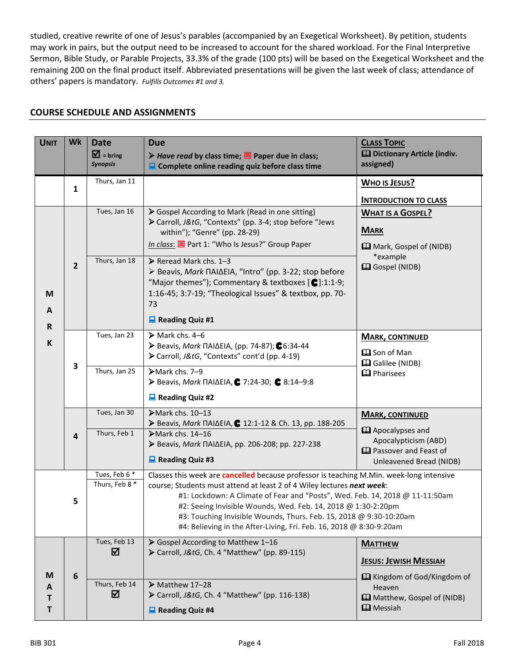studied, creative rewrite of one of Jesus's parables (accompanied by an Exegetical Worksheet). By petition, students may work in pairs, but the output need to be increased to account for the shared workload. For the Final Interpretive Sermon, Bible Study, or Parable Projects, 33.3% of the grade (100 pts) will be based on the Exegetical Worksheet and the remaining 200 on the final product itself. Abbreviated presentations will be given the last week of class; attendance of others' papers is mandatory. *Fulfills Outcomes #1 and 3.*

## **COURSE SCHEDULE AND ASSIGNMENTS**

| <b>UNIT</b>      | Wk             | <b>Date</b><br>$\overline{\mathbf{M}}$ = bring<br><b>Synopsis</b> | <b>Due</b><br><b>▶ Have read by class time; <math>\equiv</math> Paper due in class;</b><br>Complete online reading quiz before class time                                                                                                                                                                                                                            | <b>CLASS TOPIC</b><br>El Dictionary Article (indiv.<br>assigned)                                      |  |
|------------------|----------------|-------------------------------------------------------------------|----------------------------------------------------------------------------------------------------------------------------------------------------------------------------------------------------------------------------------------------------------------------------------------------------------------------------------------------------------------------|-------------------------------------------------------------------------------------------------------|--|
|                  | 1              | Thurs, Jan 11                                                     |                                                                                                                                                                                                                                                                                                                                                                      | <b>WHO IS JESUS?</b>                                                                                  |  |
|                  |                |                                                                   |                                                                                                                                                                                                                                                                                                                                                                      | <b>INTRODUCTION TO CLASS</b>                                                                          |  |
| M<br>A           | $\overline{2}$ | Tues, Jan 16                                                      | Sospel According to Mark (Read in one sitting)<br>> Carroll, J&tG, "Contexts" (pp. 3-4; stop before "Jews<br>within"); "Genre" (pp. 28-29)<br>In class: <u></u> ent 1: "Who Is Jesus?" Group Paper                                                                                                                                                                   | <b>WHAT IS A GOSPEL?</b><br><b>MARK</b>                                                               |  |
|                  |                | Thurs, Jan 18                                                     | ▶ Reread Mark chs. 1-3<br>> Beavis, Mark ΠΑΙΔΕΙΑ, "Intro" (pp. 3-22; stop before<br>"Major themes"); Commentary & textboxes $\left[ \bigodot \right]$ :1:1-9;<br>1:16-45; 3:7-19; "Theological Issues" & textbox, pp. 70-<br>73<br>$\Box$ Reading Quiz #1                                                                                                            | <b>Q</b> Mark, Gospel of (NIDB)<br>*example<br><b>Q</b> Gospel (NIDB)                                 |  |
| R.<br>K          | 3              | Tues, Jan 23                                                      | $\triangleright$ Mark chs. 4-6<br>$\triangleright$ Beavis, Mark $\Pi$ AI $\Delta$ EIA, (pp. 74-87); $\bigodot$ 6:34-44<br>> Carroll, J&tG, "Contexts" cont'd (pp. 4-19)                                                                                                                                                                                              | <b>MARK, CONTINUED</b><br><b>Q</b> Son of Man                                                         |  |
|                  |                | Thurs, Jan 25                                                     | >Mark chs. 7-9<br>> Beavis, Mark ΠΑΙΔΕΙΑ, € 7:24-30; € 8:14-9:8<br>$\Box$ Reading Quiz #2                                                                                                                                                                                                                                                                            | <b>Q</b> Galilee (NIDB)<br><b>Q</b> Pharisees                                                         |  |
|                  |                | Tues, Jan 30                                                      | $\blacktriangleright$ Mark chs. 10-13                                                                                                                                                                                                                                                                                                                                | <b>MARK, CONTINUED</b>                                                                                |  |
|                  | 4              |                                                                   | ► Beavis, Mark ΠΑΙΔΕΙΑ, € 12:1-12 & Ch. 13, pp. 188-205                                                                                                                                                                                                                                                                                                              | <b>Q</b> Apocalypses and                                                                              |  |
|                  |                | Thurs, Feb 1                                                      | $\blacktriangleright$ Mark chs. 14-16<br>▶ Beavis, Mark ΠΑΙΔΕΙΑ, pp. 206-208; pp. 227-238                                                                                                                                                                                                                                                                            | Apocalypticism (ABD)                                                                                  |  |
|                  |                |                                                                   | $\Box$ Reading Quiz #3                                                                                                                                                                                                                                                                                                                                               | <b>Q</b> Passover and Feast of<br>Unleavened Bread (NIDB)                                             |  |
|                  |                | Tues, Feb 6 *                                                     | Classes this week are cancelled because professor is teaching M.Min. week-long intensive                                                                                                                                                                                                                                                                             |                                                                                                       |  |
|                  | 5              | Thurs, Feb 8 *                                                    | course; Students must attend at least 2 of 4 Wiley lectures next week:<br>#1: Lockdown: A Climate of Fear and "Posts", Wed. Feb. 14, 2018 @ 11-11:50am<br>#2: Seeing Invisible Wounds, Wed. Feb. 14, 2018 @ 1:30-2:20pm<br>#3: Touching Invisible Wounds, Thurs. Feb. 15, 2018 @ 9:30-10:20am<br>#4: Believing in the After-Living, Fri. Feb. 16, 2018 @ 8:30-9:20am |                                                                                                       |  |
| M<br>A<br>т<br>T | 6              | Tues, Feb 13<br>☑                                                 | Sospel According to Matthew 1-16<br>> Carroll, J&tG, Ch. 4 "Matthew" (pp. 89-115)                                                                                                                                                                                                                                                                                    | <b>MATTHEW</b><br><b>JESUS: JEWISH MESSIAH</b>                                                        |  |
|                  |                | Thurs, Feb 14<br>☑                                                | $\triangleright$ Matthew 17-28<br>> Carroll, J&tG, Ch. 4 "Matthew" (pp. 116-138)<br>$\Box$ Reading Quiz #4                                                                                                                                                                                                                                                           | <b>Example 1 Kingdom of God/Kingdom of</b><br>Heaven<br>Matthew, Gospel of (NIDB)<br><b>Q</b> Messiah |  |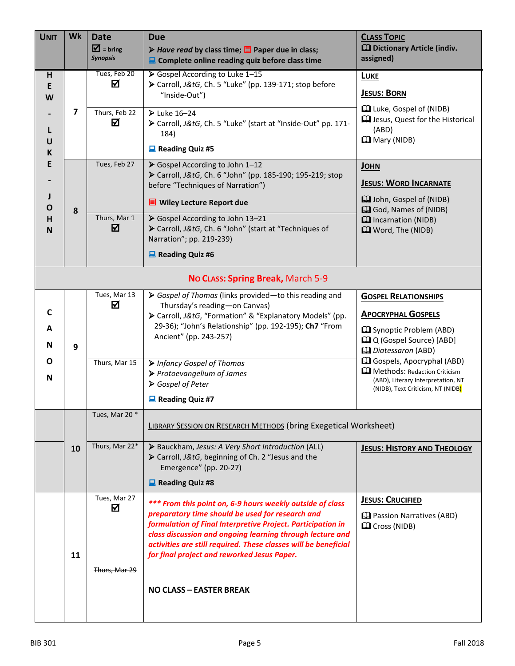| <b>UNIT</b> | Wk                                | <b>Date</b>                               | <b>Due</b>                                                                                                                                                                                                                                                                                     | <b>CLASS TOPIC</b>                                                                                                                            |  |  |
|-------------|-----------------------------------|-------------------------------------------|------------------------------------------------------------------------------------------------------------------------------------------------------------------------------------------------------------------------------------------------------------------------------------------------|-----------------------------------------------------------------------------------------------------------------------------------------------|--|--|
|             |                                   | $\overline{M}$ = bring<br><b>Synopsis</b> | ▶ Have read by class time; $\blacksquare$ Paper due in class;<br>Complete online reading quiz before class time                                                                                                                                                                                | <b>Q</b> Dictionary Article (indiv.<br>assigned)                                                                                              |  |  |
| н           |                                   | Tues, Feb 20                              | Sospel According to Luke 1-15                                                                                                                                                                                                                                                                  | <b>LUKE</b>                                                                                                                                   |  |  |
| E<br>W      |                                   | ☑                                         | > Carroll, J&tG, Ch. 5 "Luke" (pp. 139-171; stop before<br>"Inside-Out")                                                                                                                                                                                                                       | <b>JESUS: BORN</b>                                                                                                                            |  |  |
| U           | 7                                 | Thurs, Feb 22<br>☑                        | $\blacktriangleright$ Luke 16-24<br>> Carroll, J&tG, Ch. 5 "Luke" (start at "Inside-Out" pp. 171-<br>184)<br>$\Box$ Reading Quiz #5                                                                                                                                                            | <b>Q</b> Luke, Gospel of (NIDB)<br><b>Q</b> Jesus, Quest for the Historical<br>(ABD)<br><b>Q</b> Mary (NIDB)                                  |  |  |
| К<br>E      |                                   | Tues, Feb 27                              | Sospel According to John 1-12                                                                                                                                                                                                                                                                  | <b>JOHN</b>                                                                                                                                   |  |  |
|             |                                   |                                           | > Carroll, J&tG, Ch. 6 "John" (pp. 185-190; 195-219; stop                                                                                                                                                                                                                                      | <b>JESUS: WORD INCARNATE</b>                                                                                                                  |  |  |
|             |                                   |                                           | before "Techniques of Narration")                                                                                                                                                                                                                                                              | <b>Q</b> John, Gospel of (NIDB)                                                                                                               |  |  |
| O           | 8                                 |                                           | $\blacksquare$ Wiley Lecture Report due                                                                                                                                                                                                                                                        | <b>Q</b> God, Names of (NIDB)                                                                                                                 |  |  |
| н<br>N      |                                   | Thurs, Mar 1<br>☑                         | Sospel According to John 13-21<br>> Carroll, J&tG, Ch. 6 "John" (start at "Techniques of<br>Narration"; pp. 219-239)                                                                                                                                                                           | <b>Q</b> Incarnation (NIDB)<br><b>Q</b> Word, The (NIDB)                                                                                      |  |  |
|             |                                   |                                           | $\blacksquare$ Reading Quiz #6                                                                                                                                                                                                                                                                 |                                                                                                                                               |  |  |
|             | No CLASS: Spring Break, March 5-9 |                                           |                                                                                                                                                                                                                                                                                                |                                                                                                                                               |  |  |
|             |                                   | Tues, Mar 13                              | Sospel of Thomas (links provided-to this reading and                                                                                                                                                                                                                                           | <b>GOSPEL RELATIONSHIPS</b>                                                                                                                   |  |  |
| C           |                                   | ☑                                         | Thursday's reading-on Canvas)<br>> Carroll, J&tG, "Formation" & "Explanatory Models" (pp.                                                                                                                                                                                                      | <b>APOCRYPHAL GOSPELS</b>                                                                                                                     |  |  |
| A<br>N      | 9                                 |                                           | 29-36); "John's Relationship" (pp. 192-195); Ch7 "From<br>Ancient" (pp. 243-257)                                                                                                                                                                                                               | <b>Q</b> Synoptic Problem (ABD)<br><b>Q</b> Q (Gospel Source) [ABD]<br>Datessaron (ABD)                                                       |  |  |
| O<br>N      |                                   | Thurs, Mar 15                             | > Infancy Gospel of Thomas<br>▶ Protoevangelium of James<br>Sospel of Peter                                                                                                                                                                                                                    | <b>Q</b> Gospels, Apocryphal (ABD)<br>Methods: Redaction Criticism<br>(ABD), Literary Interpretation, NT<br>(NIDB), Text Criticism, NT (NIDB) |  |  |
|             |                                   |                                           | $\Box$ Reading Quiz #7                                                                                                                                                                                                                                                                         |                                                                                                                                               |  |  |
|             |                                   | Tues, Mar 20 *                            | LIBRARY SESSION ON RESEARCH METHODS (bring Exegetical Worksheet)                                                                                                                                                                                                                               |                                                                                                                                               |  |  |
|             | 10                                | Thurs, Mar 22*                            | > Bauckham, Jesus: A Very Short Introduction (ALL)<br>> Carroll, J&tG, beginning of Ch. 2 "Jesus and the<br>Emergence" (pp. 20-27)<br>Reading Quiz #8                                                                                                                                          | <b>JESUS: HISTORY AND THEOLOGY</b>                                                                                                            |  |  |
|             | Tues, Mar 27                      |                                           | *** From this point on, 6-9 hours weekly outside of class                                                                                                                                                                                                                                      | <b>JESUS: CRUCIFIED</b>                                                                                                                       |  |  |
|             | 11                                | ☑                                         | preparatory time should be used for research and<br>formulation of Final Interpretive Project. Participation in<br>class discussion and ongoing learning through lecture and<br>activities are still required. These classes will be beneficial<br>for final project and reworked Jesus Paper. | <b>Q</b> Passion Narratives (ABD)<br><b>Q</b> Cross (NIDB)                                                                                    |  |  |
|             |                                   | Thurs, Mar 29                             | <b>NO CLASS - EASTER BREAK</b>                                                                                                                                                                                                                                                                 |                                                                                                                                               |  |  |